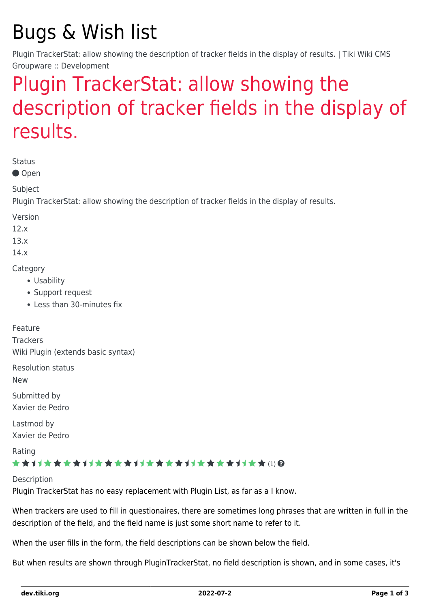# Bugs & Wish list

Plugin TrackerStat: allow showing the description of tracker fields in the display of results. | Tiki Wiki CMS Groupware :: Development

## [Plugin TrackerStat: allow showing the](https://dev.tiki.org/item5638-Plugin-TrackerStat-allow-showing-the-description-of-tracker-fields-in-the-display-of-results) [description of tracker fields in the display of](https://dev.tiki.org/item5638-Plugin-TrackerStat-allow-showing-the-description-of-tracker-fields-in-the-display-of-results) [results.](https://dev.tiki.org/item5638-Plugin-TrackerStat-allow-showing-the-description-of-tracker-fields-in-the-display-of-results)

Status

● Open

Subject

Plugin TrackerStat: allow showing the description of tracker fields in the display of results.

Version

12.x

13.x

14.x

**Category** 

- Usability
- Support request
- Less than 30-minutes fix

Feature

**Trackers** Wiki Plugin (extends basic syntax)

Resolution status

New

Submitted by Xavier de Pedro

Lastmod by Xavier de Pedro

Rating

#### \*\*\*\*\*\*\*\*\*\*\*\*\*\*\*\*\*\*\*\*\*\*\*\*\*\*\*\*\*\*\*

**Description** Plugin TrackerStat has no easy replacement with Plugin List, as far as a I know.

When trackers are used to fill in questionaires, there are sometimes long phrases that are written in full in the description of the field, and the field name is just some short name to refer to it.

When the user fills in the form, the field descriptions can be shown below the field.

But when results are shown through PluginTrackerStat, no field description is shown, and in some cases, it's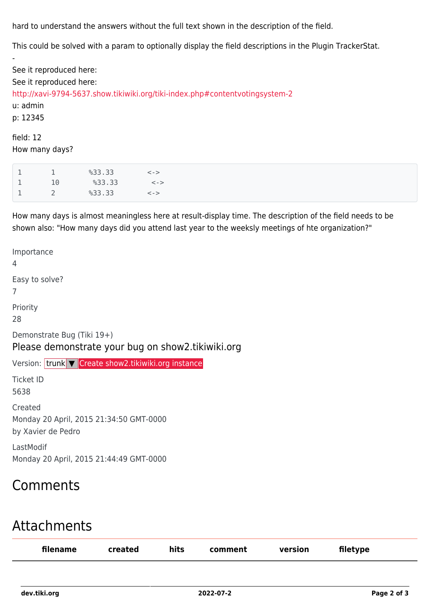hard to understand the answers without the full text shown in the description of the field.

This could be solved with a param to optionally display the field descriptions in the Plugin TrackerStat.

See it reproduced here: See it reproduced here: <http://xavi-9794-5637.show.tikiwiki.org/tiki-index.php#contentvotingsystem-2> u: admin p: 12345 field: 12 How many days?

|                | 833.33 | $\lt$ - $>$ |
|----------------|--------|-------------|
| 10             | 833.33 | $\lt$ – $>$ |
| $\overline{2}$ | 833.33 | $\lt$ - $>$ |

-

How many days is almost meaningless here at result-display time. The description of the field needs to be shown also: "How many days did you attend last year to the weeksly meetings of hte organization?"

Importance 4 Easy to solve? 7 Priority 28 Demonstrate Bug (Tiki 19+) Please demonstrate your bug on show2.tikiwiki.org Version: trunk ▼ [Create show2.tikiwiki.org instance](#page--1-0) Ticket ID 5638 Created Monday 20 April, 2015 21:34:50 GMT-0000 by Xavier de Pedro LastModif Monday 20 April, 2015 21:44:49 GMT-0000

## Comments

### Attachments

| filename | <b>created</b> | hits<br>$\sim$ | comment | version<br>_____ | filetype |
|----------|----------------|----------------|---------|------------------|----------|
|          |                |                |         |                  |          |